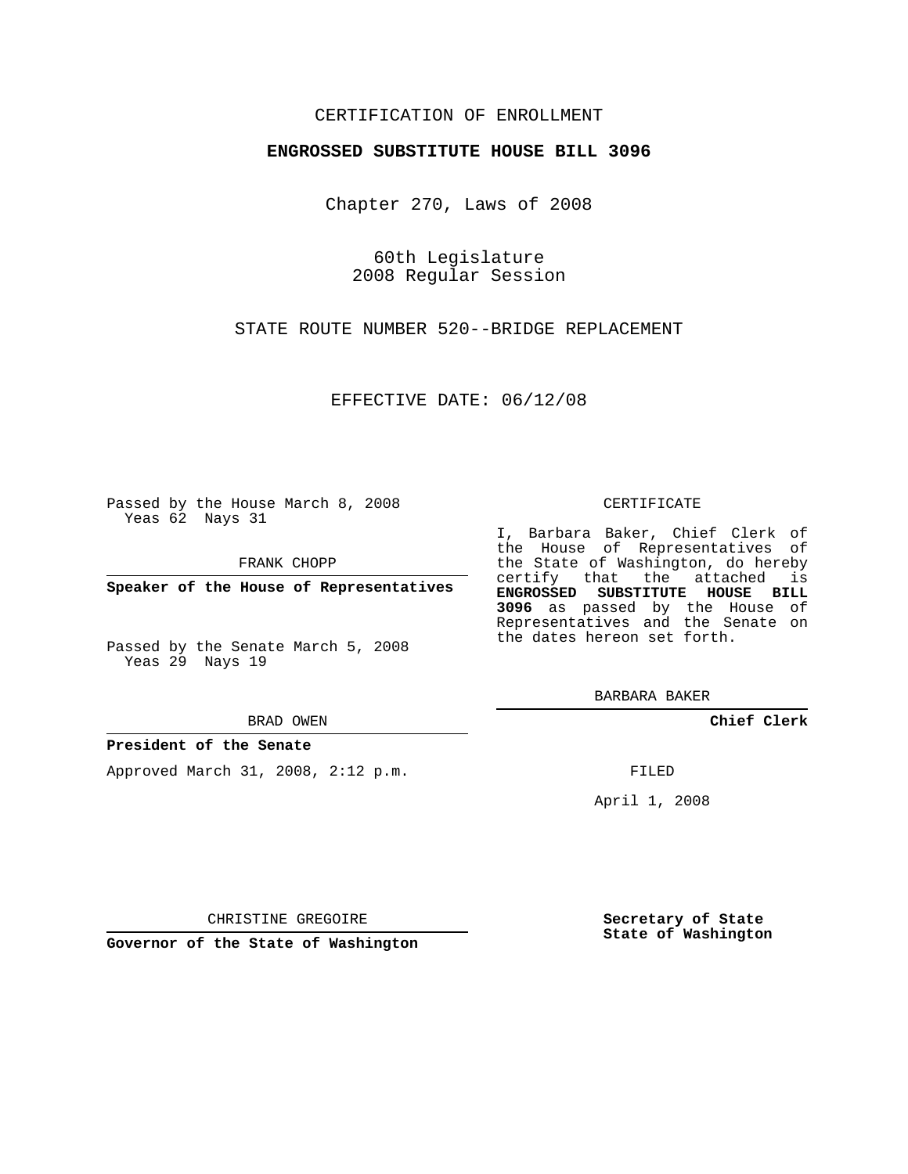## CERTIFICATION OF ENROLLMENT

### **ENGROSSED SUBSTITUTE HOUSE BILL 3096**

Chapter 270, Laws of 2008

60th Legislature 2008 Regular Session

STATE ROUTE NUMBER 520--BRIDGE REPLACEMENT

EFFECTIVE DATE: 06/12/08

Passed by the House March 8, 2008 Yeas 62 Nays 31

FRANK CHOPP

**Speaker of the House of Representatives**

Passed by the Senate March 5, 2008 Yeas 29 Nays 19

#### BRAD OWEN

### **President of the Senate**

Approved March 31, 2008, 2:12 p.m.

#### CERTIFICATE

I, Barbara Baker, Chief Clerk of the House of Representatives of the State of Washington, do hereby certify that the attached is **ENGROSSED SUBSTITUTE HOUSE BILL 3096** as passed by the House of Representatives and the Senate on the dates hereon set forth.

BARBARA BAKER

**Chief Clerk**

FILED

April 1, 2008

CHRISTINE GREGOIRE

**Governor of the State of Washington**

**Secretary of State State of Washington**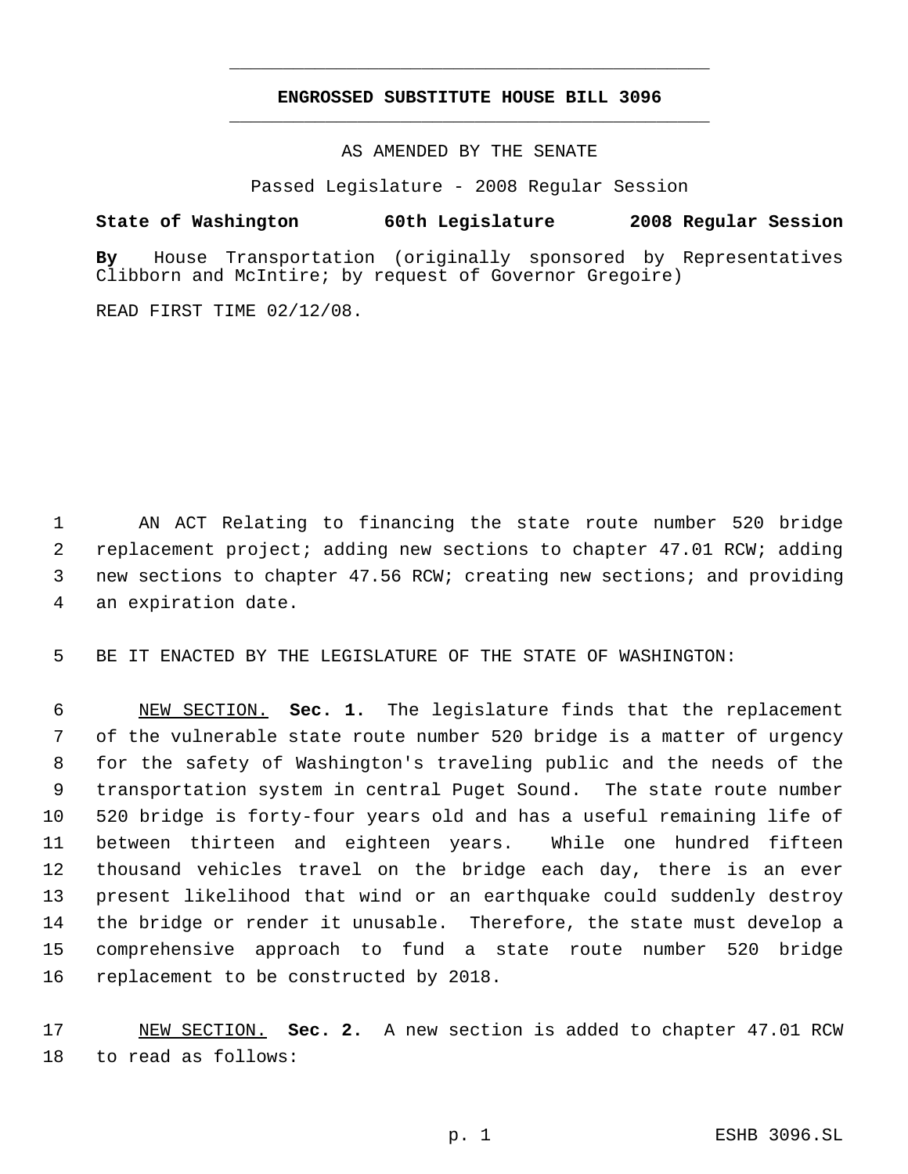# **ENGROSSED SUBSTITUTE HOUSE BILL 3096** \_\_\_\_\_\_\_\_\_\_\_\_\_\_\_\_\_\_\_\_\_\_\_\_\_\_\_\_\_\_\_\_\_\_\_\_\_\_\_\_\_\_\_\_\_

\_\_\_\_\_\_\_\_\_\_\_\_\_\_\_\_\_\_\_\_\_\_\_\_\_\_\_\_\_\_\_\_\_\_\_\_\_\_\_\_\_\_\_\_\_

AS AMENDED BY THE SENATE

Passed Legislature - 2008 Regular Session

## **State of Washington 60th Legislature 2008 Regular Session**

**By** House Transportation (originally sponsored by Representatives Clibborn and McIntire; by request of Governor Gregoire)

READ FIRST TIME 02/12/08.

 AN ACT Relating to financing the state route number 520 bridge replacement project; adding new sections to chapter 47.01 RCW; adding new sections to chapter 47.56 RCW; creating new sections; and providing an expiration date.

BE IT ENACTED BY THE LEGISLATURE OF THE STATE OF WASHINGTON:

 NEW SECTION. **Sec. 1.** The legislature finds that the replacement of the vulnerable state route number 520 bridge is a matter of urgency for the safety of Washington's traveling public and the needs of the transportation system in central Puget Sound. The state route number 520 bridge is forty-four years old and has a useful remaining life of between thirteen and eighteen years. While one hundred fifteen thousand vehicles travel on the bridge each day, there is an ever present likelihood that wind or an earthquake could suddenly destroy the bridge or render it unusable. Therefore, the state must develop a comprehensive approach to fund a state route number 520 bridge replacement to be constructed by 2018.

 NEW SECTION. **Sec. 2.** A new section is added to chapter 47.01 RCW to read as follows: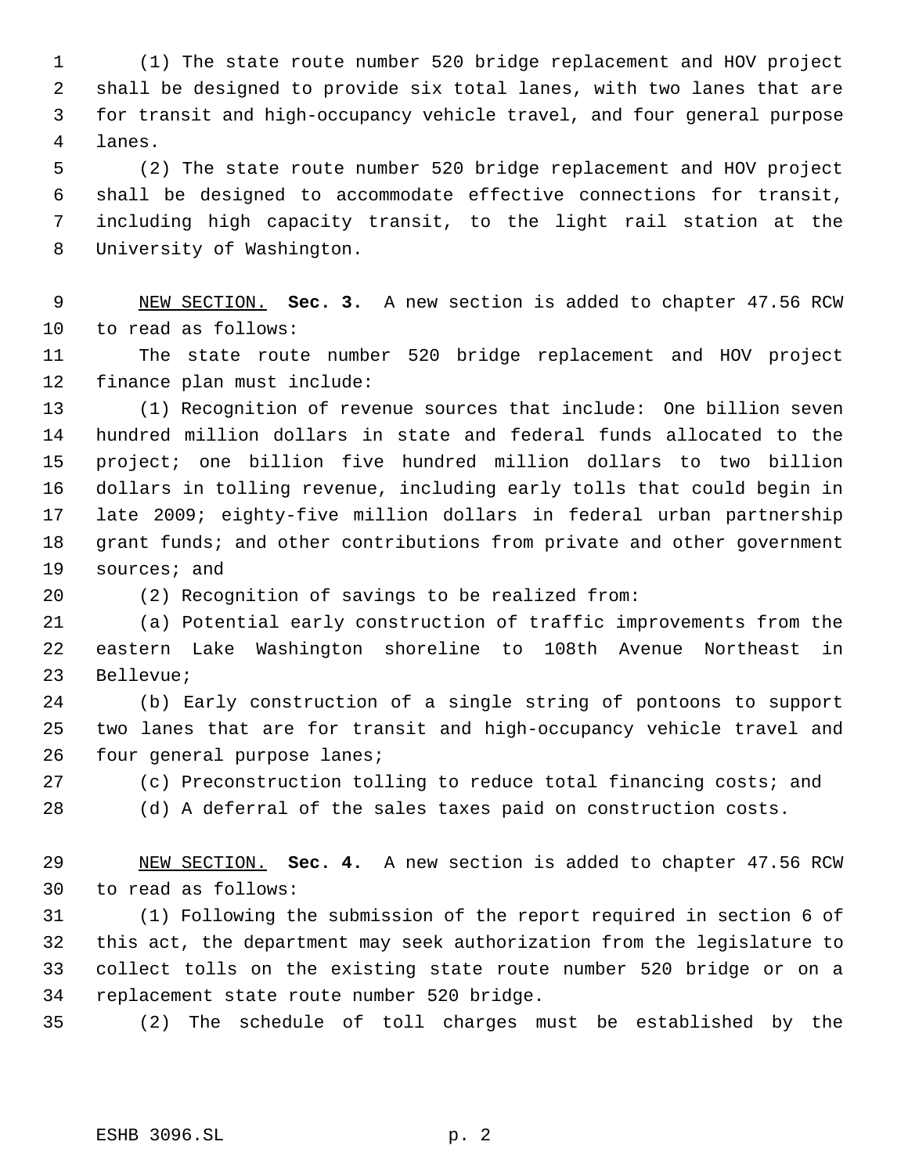(1) The state route number 520 bridge replacement and HOV project shall be designed to provide six total lanes, with two lanes that are for transit and high-occupancy vehicle travel, and four general purpose lanes.

 (2) The state route number 520 bridge replacement and HOV project shall be designed to accommodate effective connections for transit, including high capacity transit, to the light rail station at the University of Washington.

 NEW SECTION. **Sec. 3.** A new section is added to chapter 47.56 RCW to read as follows:

 The state route number 520 bridge replacement and HOV project finance plan must include:

 (1) Recognition of revenue sources that include: One billion seven hundred million dollars in state and federal funds allocated to the project; one billion five hundred million dollars to two billion dollars in tolling revenue, including early tolls that could begin in late 2009; eighty-five million dollars in federal urban partnership 18 grant funds; and other contributions from private and other government sources; and

(2) Recognition of savings to be realized from:

 (a) Potential early construction of traffic improvements from the eastern Lake Washington shoreline to 108th Avenue Northeast in Bellevue;

 (b) Early construction of a single string of pontoons to support two lanes that are for transit and high-occupancy vehicle travel and four general purpose lanes;

(c) Preconstruction tolling to reduce total financing costs; and

(d) A deferral of the sales taxes paid on construction costs.

 NEW SECTION. **Sec. 4.** A new section is added to chapter 47.56 RCW to read as follows:

 (1) Following the submission of the report required in section 6 of this act, the department may seek authorization from the legislature to collect tolls on the existing state route number 520 bridge or on a replacement state route number 520 bridge.

(2) The schedule of toll charges must be established by the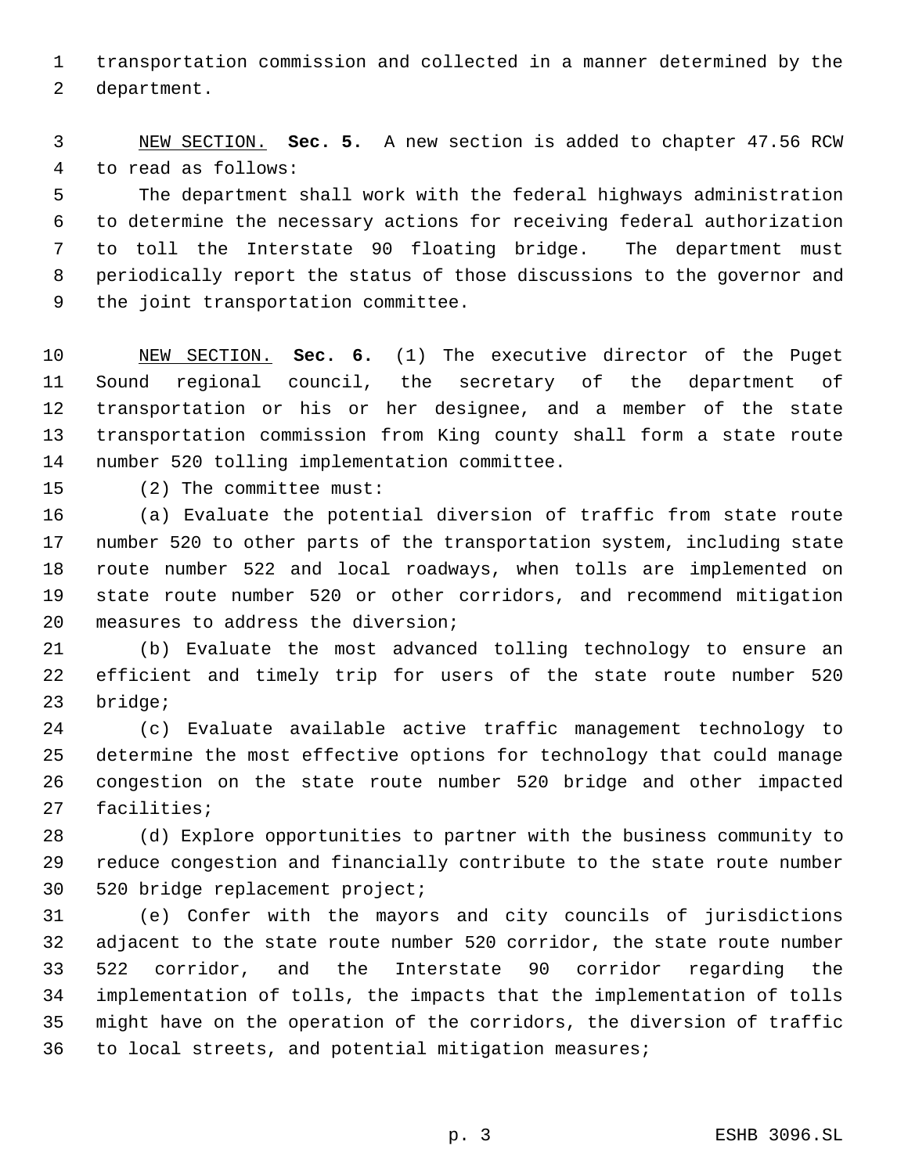transportation commission and collected in a manner determined by the department.

 NEW SECTION. **Sec. 5.** A new section is added to chapter 47.56 RCW to read as follows:

 The department shall work with the federal highways administration to determine the necessary actions for receiving federal authorization to toll the Interstate 90 floating bridge. The department must periodically report the status of those discussions to the governor and the joint transportation committee.

 NEW SECTION. **Sec. 6.** (1) The executive director of the Puget Sound regional council, the secretary of the department of transportation or his or her designee, and a member of the state transportation commission from King county shall form a state route number 520 tolling implementation committee.

(2) The committee must:

 (a) Evaluate the potential diversion of traffic from state route number 520 to other parts of the transportation system, including state route number 522 and local roadways, when tolls are implemented on state route number 520 or other corridors, and recommend mitigation measures to address the diversion;

 (b) Evaluate the most advanced tolling technology to ensure an efficient and timely trip for users of the state route number 520 bridge;

 (c) Evaluate available active traffic management technology to determine the most effective options for technology that could manage congestion on the state route number 520 bridge and other impacted facilities;

 (d) Explore opportunities to partner with the business community to reduce congestion and financially contribute to the state route number 520 bridge replacement project;

 (e) Confer with the mayors and city councils of jurisdictions adjacent to the state route number 520 corridor, the state route number 522 corridor, and the Interstate 90 corridor regarding the implementation of tolls, the impacts that the implementation of tolls might have on the operation of the corridors, the diversion of traffic to local streets, and potential mitigation measures;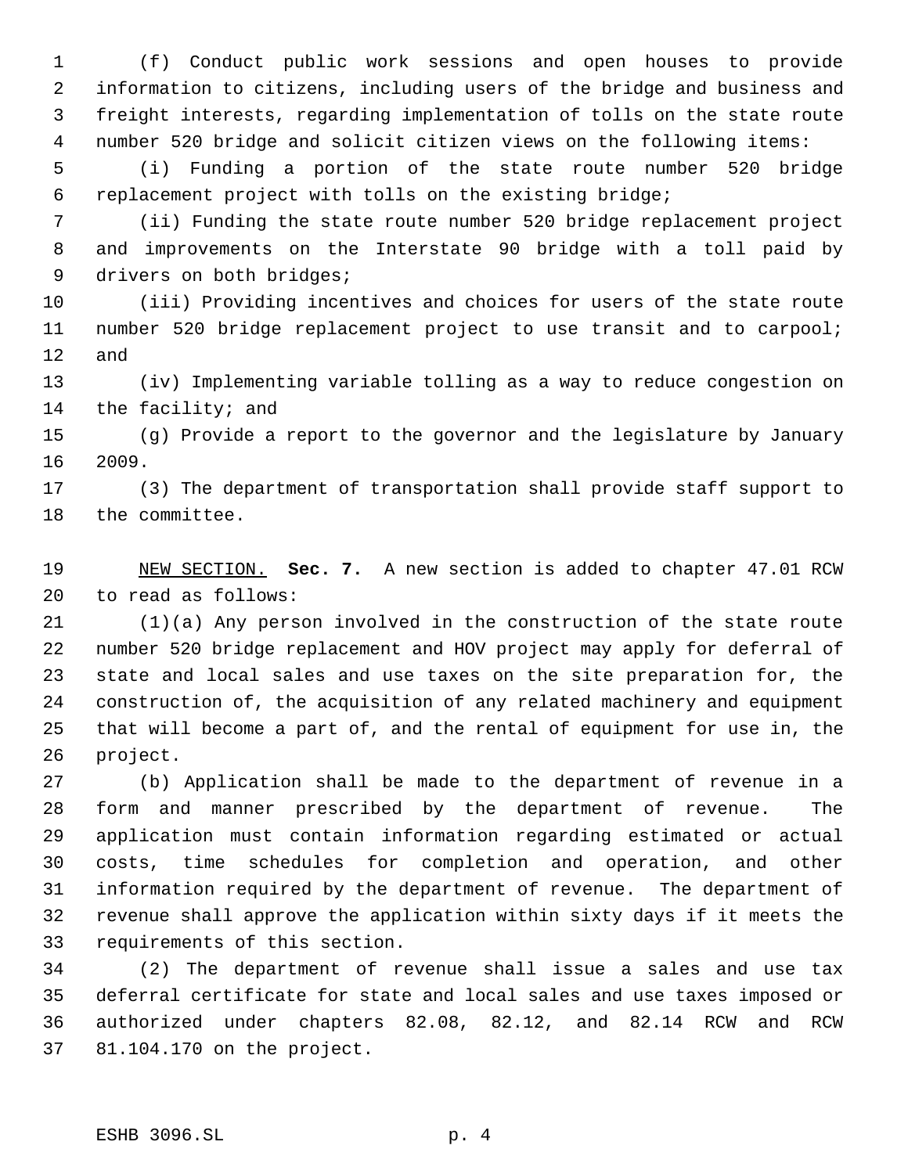(f) Conduct public work sessions and open houses to provide information to citizens, including users of the bridge and business and freight interests, regarding implementation of tolls on the state route number 520 bridge and solicit citizen views on the following items:

 (i) Funding a portion of the state route number 520 bridge replacement project with tolls on the existing bridge;

 (ii) Funding the state route number 520 bridge replacement project and improvements on the Interstate 90 bridge with a toll paid by 9 drivers on both bridges;

 (iii) Providing incentives and choices for users of the state route number 520 bridge replacement project to use transit and to carpool; and

 (iv) Implementing variable tolling as a way to reduce congestion on the facility; and

 (g) Provide a report to the governor and the legislature by January 2009.

 (3) The department of transportation shall provide staff support to the committee.

 NEW SECTION. **Sec. 7.** A new section is added to chapter 47.01 RCW to read as follows:

 (1)(a) Any person involved in the construction of the state route number 520 bridge replacement and HOV project may apply for deferral of state and local sales and use taxes on the site preparation for, the construction of, the acquisition of any related machinery and equipment that will become a part of, and the rental of equipment for use in, the project.

 (b) Application shall be made to the department of revenue in a form and manner prescribed by the department of revenue. The application must contain information regarding estimated or actual costs, time schedules for completion and operation, and other information required by the department of revenue. The department of revenue shall approve the application within sixty days if it meets the requirements of this section.

 (2) The department of revenue shall issue a sales and use tax deferral certificate for state and local sales and use taxes imposed or authorized under chapters 82.08, 82.12, and 82.14 RCW and RCW 81.104.170 on the project.